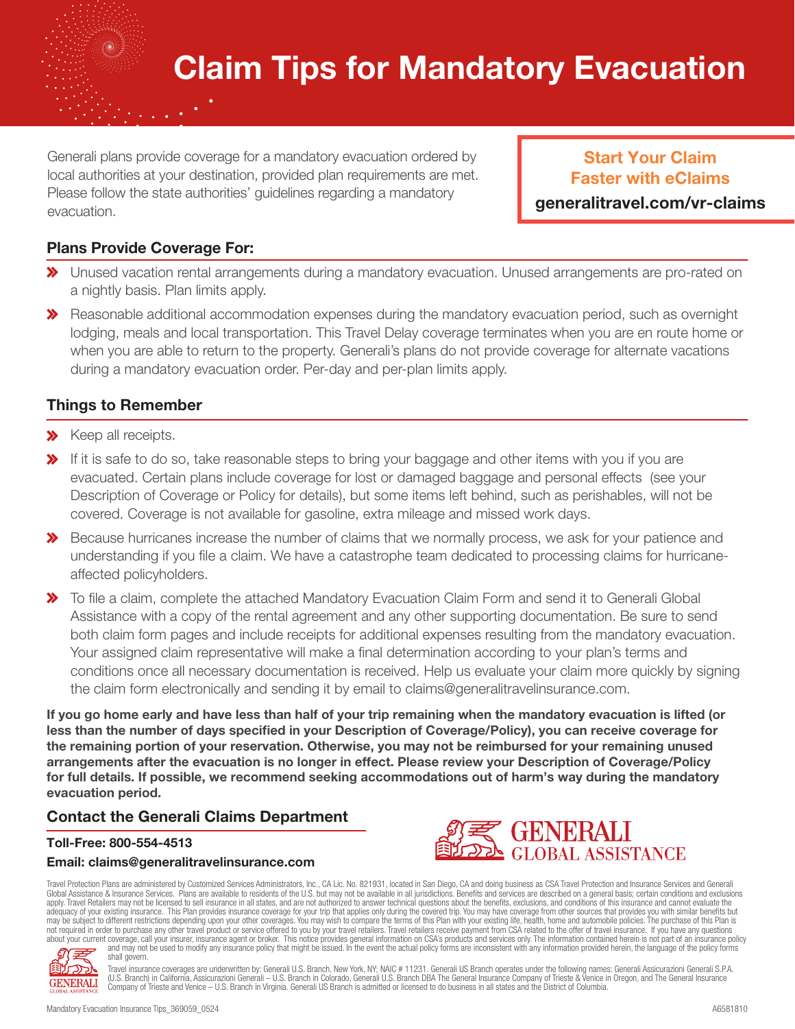# Claim Tips for Mandatory Evacuation

Generali plans provide coverage for a mandatory evacuation ordered by local authorities at your destination, provided plan requirements are met. Please follow the state authorities' guidelines regarding a mandatory evacuation.

Start Your Claim Faster with eClaims

generalitravel.com/vr-claims

#### Plans Provide Coverage For:

- Unused vacation rental arrangements during a mandatory evacuation. Unused arrangements are pro-rated on a nightly basis. Plan limits apply.
- **X** Reasonable additional accommodation expenses during the mandatory evacuation period, such as overnight lodging, meals and local transportation. This Travel Delay coverage terminates when you are en route home or when you are able to return to the property. Generali's plans do not provide coverage for alternate vacations during a mandatory evacuation order. Per-day and per-plan limits apply.

#### Things to Remember

- **X** Keep all receipts.
- If it is safe to do so, take reasonable steps to bring your baggage and other items with you if you are evacuated. Certain plans include coverage for lost or damaged baggage and personal effects (see your Description of Coverage or Policy for details), but some items left behind, such as perishables, will not be covered. Coverage is not available for gasoline, extra mileage and missed work days.
- $\gg$  Because hurricanes increase the number of claims that we normally process, we ask for your patience and understanding if you file a claim. We have a catastrophe team dedicated to processing claims for hurricaneaffected policyholders.
- $\gg$  To file a claim, complete the attached Mandatory Evacuation Claim Form and send it to Generali Global Assistance with a copy of the rental agreement and any other supporting documentation. Be sure to send both claim form pages and include receipts for additional expenses resulting from the mandatory evacuation. Your assigned claim representative will make a final determination according to your plan's terms and conditions once all necessary documentation is received. Help us evaluate your claim more quickly by signing the claim form electronically and sending it by email to claims@generalitravelinsurance.com.

If you go home early and have less than half of your trip remaining when the mandatory evacuation is lifted (or less than the number of days specified in your Description of Coverage/Policy), you can receive coverage for the remaining portion of your reservation. Otherwise, you may not be reimbursed for your remaining unused arrangements after the evacuation is no longer in effect. Please review your Description of Coverage/Policy for full details. If possible, we recommend seeking accommodations out of harm's way during the mandatory evacuation period.

#### Contact the Generali Claims Department

#### Toll-Free: 800-554-4513

#### Email: claims@generalitravelinsurance.com



Travel Protection Plans are administered by Customized Services Administrators, Inc., CA Lic. No. 821931, located in San Diego, CA and doing business as CSA Travel Protection and Insurance Services and Generali<br>Global Assi adequacy of your existing insurance. This Plan provides insurance coverage for your trip that applies only during the covered trip. You may have coverage from other sources that provides you with similar benefits but<br>may b about your current coverage, call your insurer, insurance agent or broker. This notice provides general information on CSA's products and services only. The information contained herein is not part of an insurance policy<br>a shall govern.



Travel insurance coverages are underwritten by: Generali U.S. Branch, New York, NY; NAIC # 11231. Generali US Branch operates under the following names: Generali Assicurazioni Generali S.P.A.<br>(U.S. Branch) in California, A Company of Trieste and Venice – U.S. Branch in Virginia. Generali US Branch is admitted or licensed to do business in all states and the District of Columbia.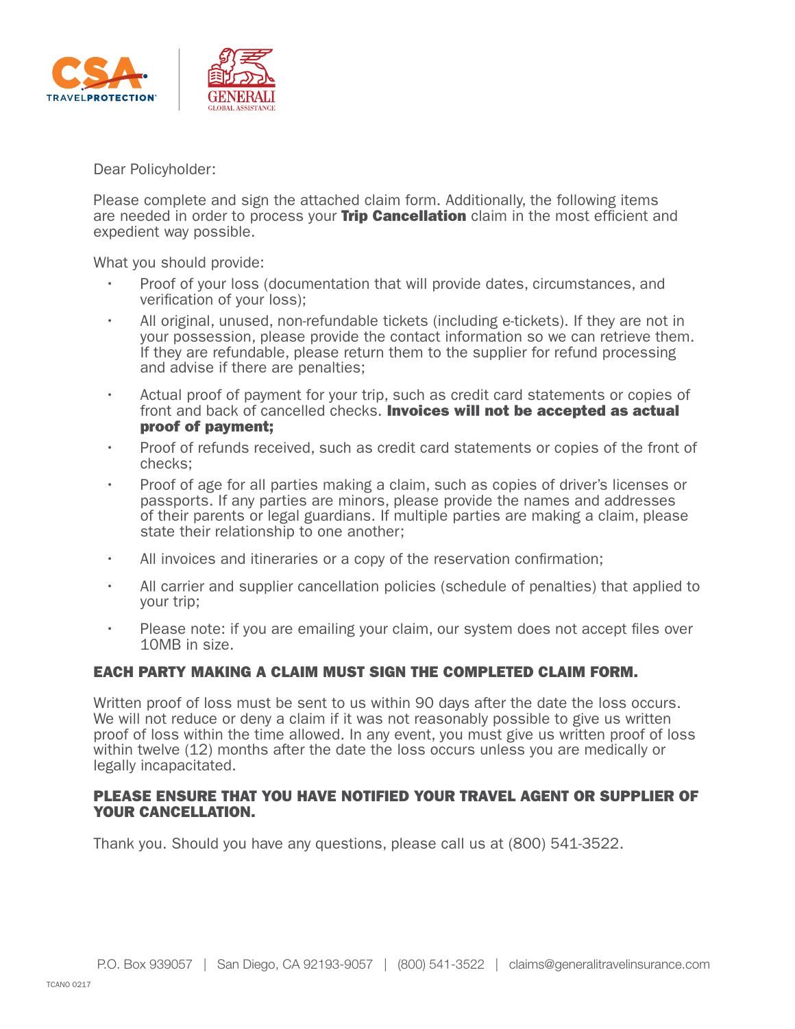

Dear Policyholder:

Please complete and sign the attached claim form. Additionally, the following items are needed in order to process your **Trip Cancellation** claim in the most efficient and expedient way possible.

What you should provide:

- Proof of your loss (documentation that will provide dates, circumstances, and verification of your loss);
- All original, unused, non-refundable tickets (including e-tickets). If they are not in your possession, please provide the contact information so we can retrieve them. If they are refundable, please return them to the supplier for refund processing and advise if there are penalties;
- Actual proof of payment for your trip, such as credit card statements or copies of front and back of cancelled checks. **Invoices will not be accepted as actual** proof of payment;
- Proof of refunds received, such as credit card statements or copies of the front of checks;
- Proof of age for all parties making a claim, such as copies of driver's licenses or passports. If any parties are minors, please provide the names and addresses of their parents or legal guardians. If multiple parties are making a claim, please state their relationship to one another;
- All invoices and itineraries or a copy of the reservation confirmation;
- All carrier and supplier cancellation policies (schedule of penalties) that applied to your trip;
- Please note: if you are emailing your claim, our system does not accept files over 10MB in size.

#### EACH PARTY MAKING A CLAIM MUST SIGN THE COMPLETED CLAIM FORM.

Written proof of loss must be sent to us within 90 days after the date the loss occurs. We will not reduce or deny a claim if it was not reasonably possible to give us written proof of loss within the time allowed. In any event, you must give us written proof of loss within twelve (12) months after the date the loss occurs unless you are medically or legally incapacitated.

#### PLEASE ENSURE THAT YOU HAVE NOTIFIED YOUR TRAVEL AGENT OR SUPPLIER OF YOUR CANCELLATION.

Thank you. Should you have any questions, please call us at (800) 541-3522.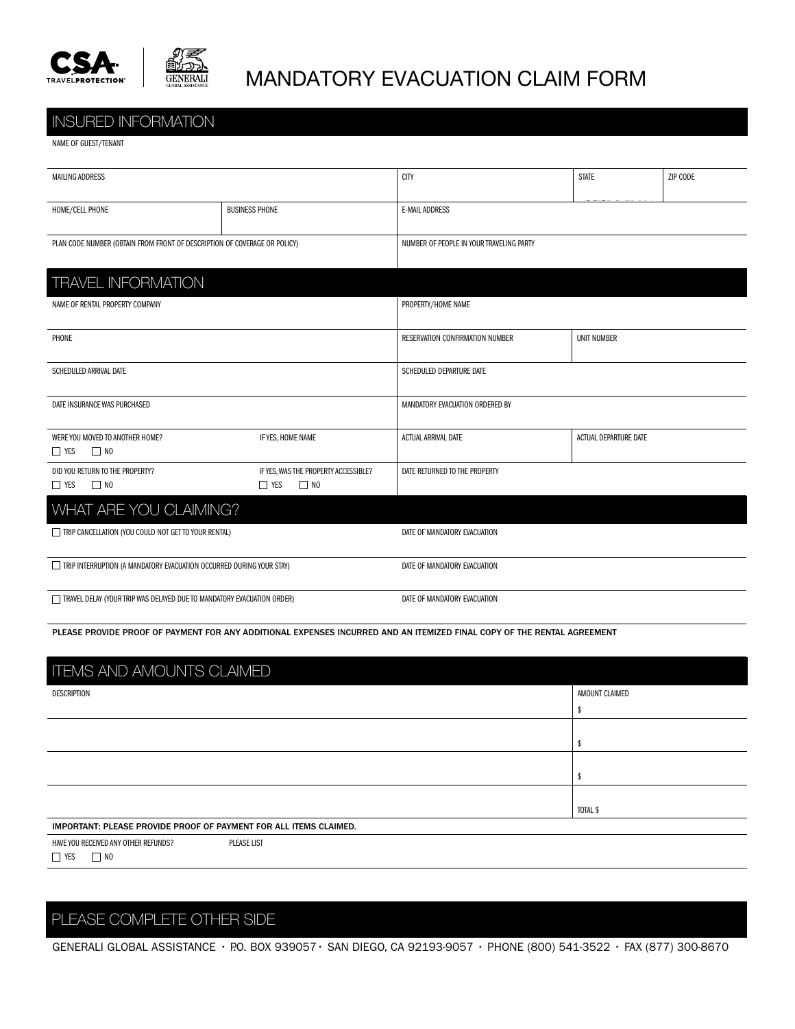



## MANDATORY EVACUATION CLAIM FORM

#### INSURED INFORMATION

|  |  | NAME OF GUEST/TENANT |
|--|--|----------------------|
|  |  |                      |

| <b>MAILING ADDRESS</b>                                                          |                                                                 | <b>CITY</b>                              | <b>STATE</b>          | ZIP CODE |  |
|---------------------------------------------------------------------------------|-----------------------------------------------------------------|------------------------------------------|-----------------------|----------|--|
| HOME/CELL PHONE<br><b>BUSINESS PHONE</b>                                        |                                                                 | <b>E-MAIL ADDRESS</b>                    |                       |          |  |
| PLAN CODE NUMBER (OBTAIN FROM FRONT OF DESCRIPTION OF COVERAGE OR POLICY)       |                                                                 | NUMBER OF PEOPLE IN YOUR TRAVELING PARTY |                       |          |  |
| <b>TRAVEL INFORMATION</b>                                                       |                                                                 |                                          |                       |          |  |
| NAME OF RENTAL PROPERTY COMPANY                                                 |                                                                 | PROPERTY/HOME NAME                       |                       |          |  |
| PHONE                                                                           |                                                                 | RESERVATION CONFIRMATION NUMBER          | <b>UNIT NUMBER</b>    |          |  |
| SCHEDULED ARRIVAL DATE                                                          |                                                                 | SCHEDULED DEPARTURE DATE                 |                       |          |  |
| DATE INSURANCE WAS PURCHASED                                                    |                                                                 | MANDATORY EVACUATION ORDERED BY          |                       |          |  |
| IF YES, HOME NAME<br>WERE YOU MOVED TO ANOTHER HOME?<br>$\Box$ YES<br>$\Box$ NO |                                                                 | <b>ACTUAL ARRIVAL DATE</b>               | ACTUAL DEPARTURE DATE |          |  |
| DID YOU RETURN TO THE PROPERTY?<br>$\Box$ NO<br>$\Box$ YES                      | IF YES, WAS THE PROPERTY ACCESSIBLE?<br>$\Box$ YES<br>$\Box$ NO | DATE RETURNED TO THE PROPERTY            |                       |          |  |
| WHAT ARE YOU CLAIMING?                                                          |                                                                 |                                          |                       |          |  |
| TRIP CANCELLATION (YOU COULD NOT GET TO YOUR RENTAL)                            |                                                                 | DATE OF MANDATORY EVACUATION             |                       |          |  |
| TRIP INTERRUPTION (A MANDATORY EVACUATION OCCURRED DURING YOUR STAY)            |                                                                 | DATE OF MANDATORY EVACUATION             |                       |          |  |
| TRAVEL DELAY (YOUR TRIP WAS DELAYED DUE TO MANDATORY EVACUATION ORDER)          |                                                                 | DATE OF MANDATORY EVACUATION             |                       |          |  |

PLEASE PROVIDE PROOF OF PAYMENT FOR ANY ADDITIONAL EXPENSES INCURRED AND AN ITEMIZED FINAL COPY OF THE RENTAL AGREEMENT

| <b>ITEMS AND AMOUNTS CLAIMED</b>                                  |                |  |  |  |  |
|-------------------------------------------------------------------|----------------|--|--|--|--|
| DESCRIPTION                                                       | AMOUNT CLAIMED |  |  |  |  |
|                                                                   |                |  |  |  |  |
|                                                                   |                |  |  |  |  |
|                                                                   |                |  |  |  |  |
|                                                                   |                |  |  |  |  |
|                                                                   |                |  |  |  |  |
|                                                                   |                |  |  |  |  |
|                                                                   | TOTAL \$       |  |  |  |  |
| IMPORTANT: PLEASE PROVIDE PROOF OF PAYMENT FOR ALL ITEMS CLAIMED. |                |  |  |  |  |
| HAVE YOU RECEIVED ANY OTHER REFUNDS?<br>PLEASE LIST               |                |  |  |  |  |
| $\Box$ YES<br>$\Box$ NO                                           |                |  |  |  |  |

### PLEASE COMPLETE OTHER SIDE

GENERALI GLOBAL ASSISTANCE · P.O. BOX 939057 · SAN DIEGO, CA 92193-9057 · PHONE (800) 541-3522 · FAX (877) 300-8670